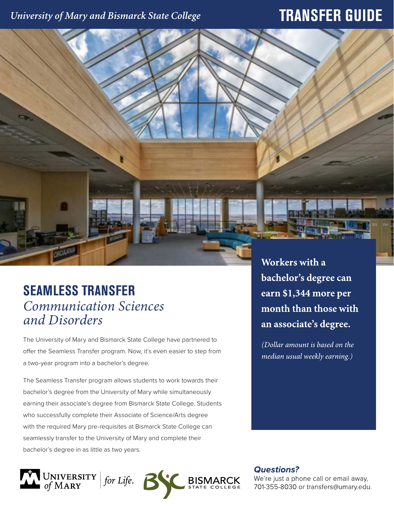## University of Mary and Bismarck State College

## **TRANSFER GUIDE**

# **SEAMLESS TRANSFER** *Communication Sciences and Disorders*

The University of Mary and Bismarck State College have partnered to offer the Seamless Transfer program. Now, it's even easier to step from a two-year program into a bachelor's degree.

The Seamless Transfer program allows students to work towards their bachelor's degree from the University of Mary while simultaneously earning their associate's degree from Bismarck State College. Students who successfully complete their Associate of Science/Arts degree with the required Mary pre-requisites at Bismarck State College can seamlessly transfer to the University of Mary and complete their bachelor's degree in as little as two years.



Workers with a bachelor's degree can earn \$1,344 more per month than those with an associate's degree.

(Dollar amount is based on the median usual weekly earning.)

**Questions?** 

We're just a phone call or email away, 701-355-8030 or transfers@umary.edu.